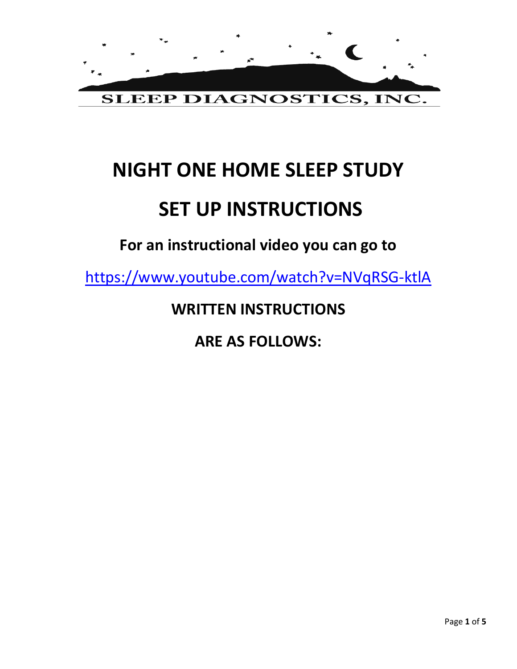

# **NIGHT ONE HOME SLEEP STUDY**

# **SET UP INSTRUCTIONS**

**For an instructional video you can go to** 

<https://www.youtube.com/watch?v=NVqRSG-ktlA>

**WRITTEN INSTRUCTIONS**

**ARE AS FOLLOWS:**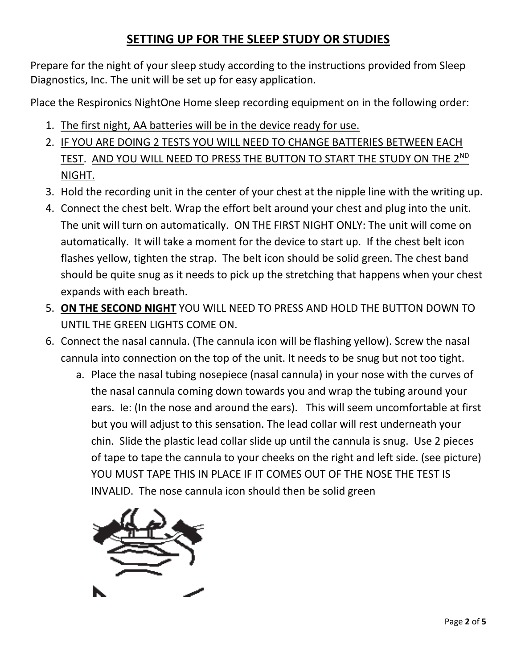### **SETTING UP FOR THE SLEEP STUDY OR STUDIES**

Prepare for the night of your sleep study according to the instructions provided from Sleep Diagnostics, Inc. The unit will be set up for easy application.

Place the Respironics NightOne Home sleep recording equipment on in the following order:

- 1. The first night, AA batteries will be in the device ready for use.
- 2. IF YOU ARE DOING 2 TESTS YOU WILL NEED TO CHANGE BATTERIES BETWEEN EACH TEST. AND YOU WILL NEED TO PRESS THE BUTTON TO START THE STUDY ON THE 2ND NIGHT.
- 3. Hold the recording unit in the center of your chest at the nipple line with the writing up.
- 4. Connect the chest belt. Wrap the effort belt around your chest and plug into the unit. The unit will turn on automatically. ON THE FIRST NIGHT ONLY: The unit will come on automatically. It will take a moment for the device to start up. If the chest belt icon flashes yellow, tighten the strap. The belt icon should be solid green. The chest band should be quite snug as it needs to pick up the stretching that happens when your chest expands with each breath.
- 5. **ON THE SECOND NIGHT** YOU WILL NEED TO PRESS AND HOLD THE BUTTON DOWN TO UNTIL THE GREEN LIGHTS COME ON.
- 6. Connect the nasal cannula. (The cannula icon will be flashing yellow). Screw the nasal cannula into connection on the top of the unit. It needs to be snug but not too tight.
	- a. Place the nasal tubing nosepiece (nasal cannula) in your nose with the curves of the nasal cannula coming down towards you and wrap the tubing around your ears. Ie: (In the nose and around the ears). This will seem uncomfortable at first but you will adjust to this sensation. The lead collar will rest underneath your chin. Slide the plastic lead collar slide up until the cannula is snug. Use 2 pieces of tape to tape the cannula to your cheeks on the right and left side. (see picture) YOU MUST TAPE THIS IN PLACE IF IT COMES OUT OF THE NOSE THE TEST IS INVALID. The nose cannula icon should then be solid green

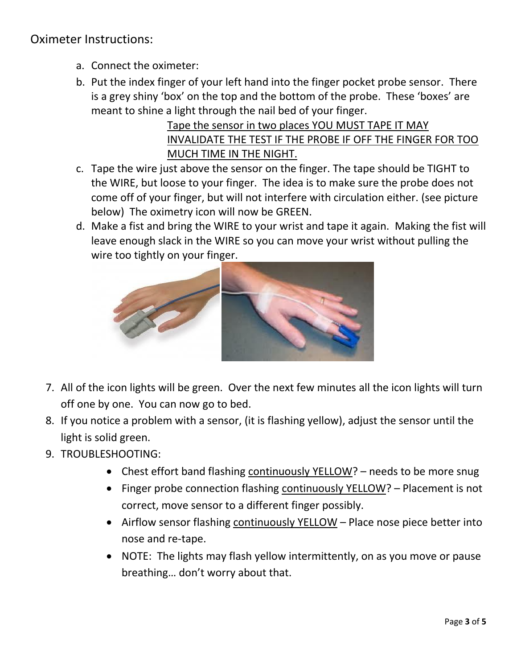Oximeter Instructions:

- a. Connect the oximeter:
- b. Put the index finger of your left hand into the finger pocket probe sensor. There is a grey shiny 'box' on the top and the bottom of the probe. These 'boxes' are meant to shine a light through the nail bed of your finger.

Tape the sensor in two places YOU MUST TAPE IT MAY INVALIDATE THE TEST IF THE PROBE IF OFF THE FINGER FOR TOO MUCH TIME IN THE NIGHT.

- c. Tape the wire just above the sensor on the finger. The tape should be TIGHT to the WIRE, but loose to your finger. The idea is to make sure the probe does not come off of your finger, but will not interfere with circulation either. (see picture below) The oximetry icon will now be GREEN.
- d. Make a fist and bring the WIRE to your wrist and tape it again. Making the fist will leave enough slack in the WIRE so you can move your wrist without pulling the wire too tightly on your finger.



- 7. All of the icon lights will be green. Over the next few minutes all the icon lights will turn off one by one. You can now go to bed.
- 8. If you notice a problem with a sensor, (it is flashing yellow), adjust the sensor until the light is solid green.
- 9. TROUBLESHOOTING:
	- Chest effort band flashing continuously YELLOW? needs to be more snug
	- Finger probe connection flashing continuously YELLOW? Placement is not correct, move sensor to a different finger possibly.
	- Airflow sensor flashing continuously YELLOW Place nose piece better into nose and re-tape.
	- NOTE: The lights may flash yellow intermittently, on as you move or pause breathing… don't worry about that.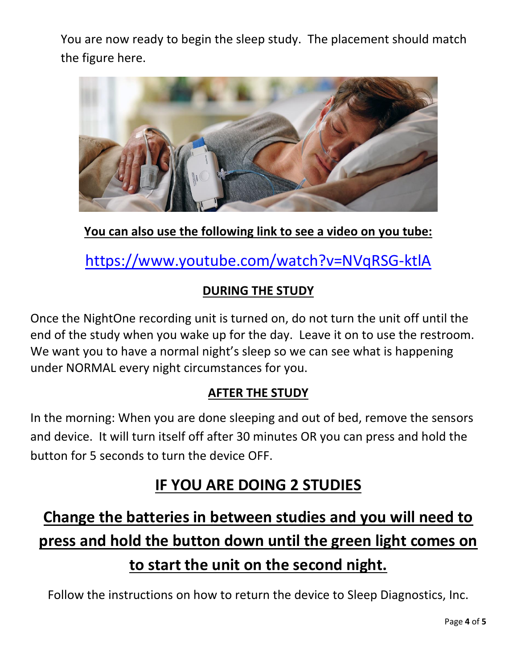You are now ready to begin the sleep study. The placement should match the figure here.



**You can also use the following link to see a video on you tube:**

<https://www.youtube.com/watch?v=NVqRSG-ktlA>

### **DURING THE STUDY**

Once the NightOne recording unit is turned on, do not turn the unit off until the end of the study when you wake up for the day. Leave it on to use the restroom. We want you to have a normal night's sleep so we can see what is happening under NORMAL every night circumstances for you.

### **AFTER THE STUDY**

In the morning: When you are done sleeping and out of bed, remove the sensors and device. It will turn itself off after 30 minutes OR you can press and hold the button for 5 seconds to turn the device OFF.

### **IF YOU ARE DOING 2 STUDIES**

## **Change the batteries in between studies and you will need to press and hold the button down until the green light comes on to start the unit on the second night.**

Follow the instructions on how to return the device to Sleep Diagnostics, Inc.